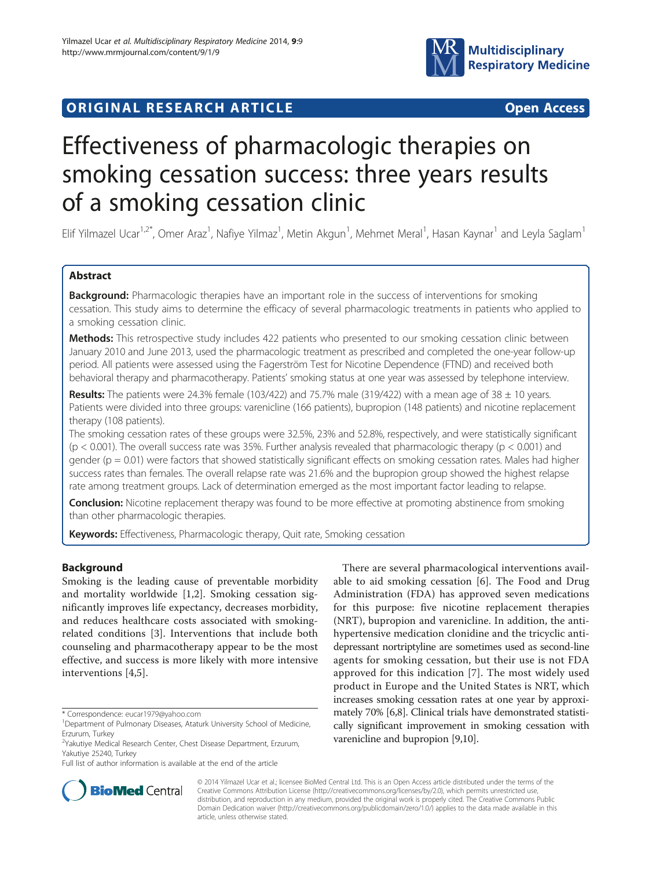# **ORIGINAL RESEARCH ARTICLE CONSUMING ACCESS**



# Effectiveness of pharmacologic therapies on smoking cessation success: three years results of a smoking cessation clinic

Elif Yilmazel Ucar<sup>1,2\*</sup>, Omer Araz<sup>1</sup>, Nafiye Yilmaz<sup>1</sup>, Metin Akgun<sup>1</sup>, Mehmet Meral<sup>1</sup>, Hasan Kaynar<sup>1</sup> and Leyla Saglam<sup>1</sup>

# Abstract

Background: Pharmacologic therapies have an important role in the success of interventions for smoking cessation. This study aims to determine the efficacy of several pharmacologic treatments in patients who applied to a smoking cessation clinic.

Methods: This retrospective study includes 422 patients who presented to our smoking cessation clinic between January 2010 and June 2013, used the pharmacologic treatment as prescribed and completed the one-year follow-up period. All patients were assessed using the Fagerström Test for Nicotine Dependence (FTND) and received both behavioral therapy and pharmacotherapy. Patients' smoking status at one year was assessed by telephone interview.

Results: The patients were 24.3% female (103/422) and 75.7% male (319/422) with a mean age of 38  $\pm$  10 years. Patients were divided into three groups: varenicline (166 patients), bupropion (148 patients) and nicotine replacement therapy (108 patients).

The smoking cessation rates of these groups were 32.5%, 23% and 52.8%, respectively, and were statistically significant (p < 0.001). The overall success rate was 35%. Further analysis revealed that pharmacologic therapy (p < 0.001) and gender ( $p = 0.01$ ) were factors that showed statistically significant effects on smoking cessation rates. Males had higher success rates than females. The overall relapse rate was 21.6% and the bupropion group showed the highest relapse rate among treatment groups. Lack of determination emerged as the most important factor leading to relapse.

**Conclusion:** Nicotine replacement therapy was found to be more effective at promoting abstinence from smoking than other pharmacologic therapies.

Keywords: Effectiveness, Pharmacologic therapy, Quit rate, Smoking cessation

# Background

Smoking is the leading cause of preventable morbidity and mortality worldwide [[1,2](#page-3-0)]. Smoking cessation significantly improves life expectancy, decreases morbidity, and reduces healthcare costs associated with smokingrelated conditions [[3\]](#page-3-0). Interventions that include both counseling and pharmacotherapy appear to be the most effective, and success is more likely with more intensive interventions [[4,5\]](#page-3-0).

There are several pharmacological interventions available to aid smoking cessation [[6\]](#page-3-0). The Food and Drug Administration (FDA) has approved seven medications for this purpose: five nicotine replacement therapies (NRT), bupropion and varenicline. In addition, the antihypertensive medication clonidine and the tricyclic antidepressant nortriptyline are sometimes used as second-line agents for smoking cessation, but their use is not FDA approved for this indication [[7\]](#page-3-0). The most widely used product in Europe and the United States is NRT, which increases smoking cessation rates at one year by approximately 70% [\[6,8\]](#page-3-0). Clinical trials have demonstrated statistically significant improvement in smoking cessation with varenicline and bupropion [[9,10](#page-4-0)].



© 2014 Yilmazel Ucar et al.; licensee BioMed Central Ltd. This is an Open Access article distributed under the terms of the Creative Commons Attribution License (<http://creativecommons.org/licenses/by/2.0>), which permits unrestricted use, distribution, and reproduction in any medium, provided the original work is properly cited. The Creative Commons Public Domain Dedication waiver [\(http://creativecommons.org/publicdomain/zero/1.0/\)](http://creativecommons.org/publicdomain/zero/1.0/) applies to the data made available in this article, unless otherwise stated.

<sup>\*</sup> Correspondence: [eucar1979@yahoo.com](mailto:eucar1979@yahoo.com) <sup>1</sup>

<sup>&</sup>lt;sup>1</sup>Department of Pulmonary Diseases, Ataturk University School of Medicine, Erzurum, Turkey

<sup>2</sup> Yakutiye Medical Research Center, Chest Disease Department, Erzurum, Yakutiye 25240, Turkey

Full list of author information is available at the end of the article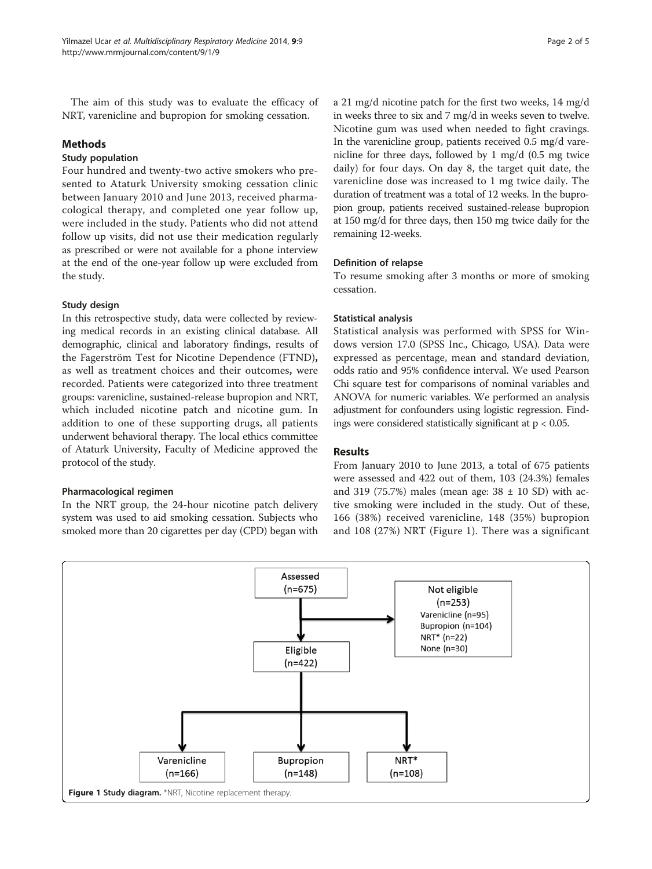The aim of this study was to evaluate the efficacy of NRT, varenicline and bupropion for smoking cessation.

#### Methods

#### Study population

Four hundred and twenty-two active smokers who presented to Ataturk University smoking cessation clinic between January 2010 and June 2013, received pharmacological therapy, and completed one year follow up, were included in the study. Patients who did not attend follow up visits, did not use their medication regularly as prescribed or were not available for a phone interview at the end of the one-year follow up were excluded from the study.

# Study design

In this retrospective study, data were collected by reviewing medical records in an existing clinical database. All demographic, clinical and laboratory findings, results of the Fagerström Test for Nicotine Dependence (FTND), as well as treatment choices and their outcomes, were recorded. Patients were categorized into three treatment groups: varenicline, sustained-release bupropion and NRT, which included nicotine patch and nicotine gum. In addition to one of these supporting drugs, all patients underwent behavioral therapy. The local ethics committee of Ataturk University, Faculty of Medicine approved the protocol of the study.

# Pharmacological regimen

In the NRT group, the 24-hour nicotine patch delivery system was used to aid smoking cessation. Subjects who smoked more than 20 cigarettes per day (CPD) began with a 21 mg/d nicotine patch for the first two weeks, 14 mg/d in weeks three to six and 7 mg/d in weeks seven to twelve. Nicotine gum was used when needed to fight cravings. In the varenicline group, patients received 0.5 mg/d varenicline for three days, followed by 1 mg/d (0.5 mg twice daily) for four days. On day 8, the target quit date, the varenicline dose was increased to 1 mg twice daily. The duration of treatment was a total of 12 weeks. In the bupropion group, patients received sustained-release bupropion at 150 mg/d for three days, then 150 mg twice daily for the remaining 12-weeks.

#### Definition of relapse

To resume smoking after 3 months or more of smoking cessation.

#### Statistical analysis

Statistical analysis was performed with SPSS for Windows version 17.0 (SPSS Inc., Chicago, USA). Data were expressed as percentage, mean and standard deviation, odds ratio and 95% confidence interval. We used Pearson Chi square test for comparisons of nominal variables and ANOVA for numeric variables. We performed an analysis adjustment for confounders using logistic regression. Findings were considered statistically significant at p < 0.05.

# Results

From January 2010 to June 2013, a total of 675 patients were assessed and 422 out of them, 103 (24.3%) females and 319 (75.7%) males (mean age:  $38 \pm 10$  SD) with active smoking were included in the study. Out of these, 166 (38%) received varenicline, 148 (35%) bupropion and 108 (27%) NRT (Figure 1). There was a significant

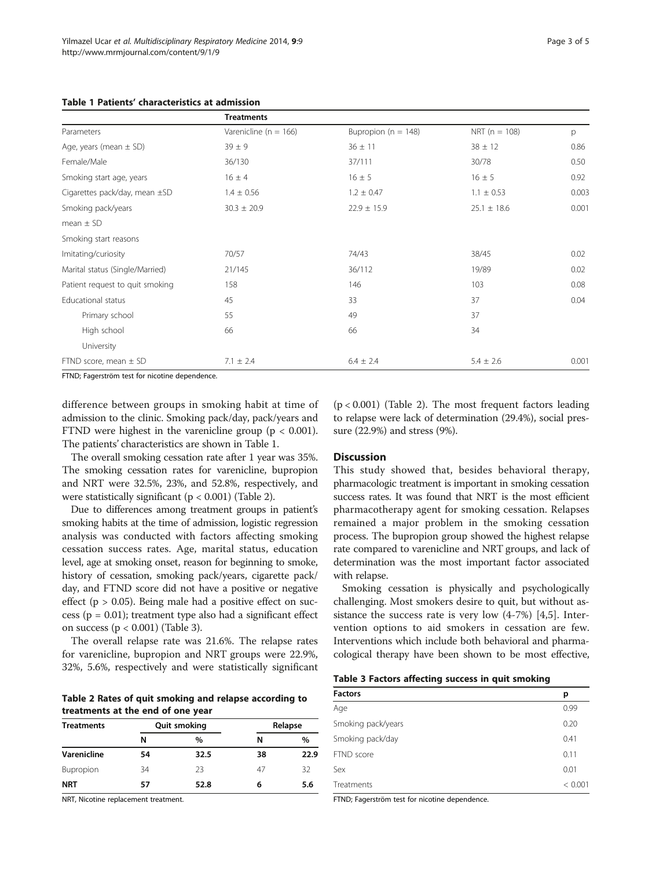| Table 1 Patients' characteristics at admission |  |
|------------------------------------------------|--|
|------------------------------------------------|--|

|                                                       | <b>Treatments</b>         |                         |                   |       |
|-------------------------------------------------------|---------------------------|-------------------------|-------------------|-------|
| Parameters                                            | Varenicline ( $n = 166$ ) | Bupropion ( $n = 148$ ) | NRT ( $n = 108$ ) | p     |
| Age, years (mean $\pm$ SD)                            | $39 \pm 9$                | $36 \pm 11$             | $38 \pm 12$       | 0.86  |
| Female/Male                                           | 36/130                    | 37/111                  | 30/78             | 0.50  |
| Smoking start age, years                              | $16 \pm 4$                | $16 \pm 5$              | $16 \pm 5$        | 0.92  |
| Cigarettes pack/day, mean ±SD                         | $1.4 \pm 0.56$            | $1.2 \pm 0.47$          | $1.1 \pm 0.53$    | 0.003 |
| Smoking pack/years                                    | $30.3 \pm 20.9$           | $22.9 \pm 15.9$         | $25.1 \pm 18.6$   | 0.001 |
| mean $\pm$ SD                                         |                           |                         |                   |       |
| Smoking start reasons                                 |                           |                         |                   |       |
| Imitating/curiosity                                   | 70/57                     | 74/43                   | 38/45             | 0.02  |
| Marital status (Single/Married)                       | 21/145                    | 36/112                  | 19/89             | 0.02  |
| Patient request to quit smoking                       | 158                       | 146                     | 103               | 0.08  |
| Educational status                                    | 45                        | 33                      | 37                | 0.04  |
| Primary school                                        | 55                        | 49                      | 37                |       |
| High school                                           | 66                        | 66                      | 34                |       |
| University                                            |                           |                         |                   |       |
| FTND score, mean $\pm$ SD                             | $7.1 \pm 2.4$             | $6.4 \pm 2.4$           | $5.4 \pm 2.6$     | 0.001 |
| <b>FIND</b> , Fogoreträm tost for nicoting denondence |                           |                         |                   |       |

FTND; Fagerström test for nicotine dependence.

difference between groups in smoking habit at time of admission to the clinic. Smoking pack/day, pack/years and FTND were highest in the varenicline group ( $p < 0.001$ ). The patients' characteristics are shown in Table 1.

The overall smoking cessation rate after 1 year was 35%. The smoking cessation rates for varenicline, bupropion and NRT were 32.5%, 23%, and 52.8%, respectively, and were statistically significant ( $p < 0.001$ ) (Table 2).

Due to differences among treatment groups in patient's smoking habits at the time of admission, logistic regression analysis was conducted with factors affecting smoking cessation success rates. Age, marital status, education level, age at smoking onset, reason for beginning to smoke, history of cessation, smoking pack/years, cigarette pack/ day, and FTND score did not have a positive or negative effect ( $p > 0.05$ ). Being male had a positive effect on success ( $p = 0.01$ ); treatment type also had a significant effect on success (p < 0.001) (Table 3).

The overall relapse rate was 21.6%. The relapse rates for varenicline, bupropion and NRT groups were 22.9%, 32%, 5.6%, respectively and were statistically significant

Table 2 Rates of quit smoking and relapse according to treatments at the end of one year

| <b>Treatments</b>  |    | <b>Quit smoking</b> |    | Relapse |  |
|--------------------|----|---------------------|----|---------|--|
|                    | N  | %                   | N  | %       |  |
| <b>Varenicline</b> | 54 | 32.5                | 38 | 22.9    |  |
| Bupropion          | 34 | 23                  | 47 | 32      |  |
| <b>NRT</b>         | 57 | 52.8                | 6  | 5.6     |  |

NRT, Nicotine replacement treatment.

 $(p < 0.001)$  (Table 2). The most frequent factors leading to relapse were lack of determination (29.4%), social pressure (22.9%) and stress (9%).

#### **Discussion**

This study showed that, besides behavioral therapy, pharmacologic treatment is important in smoking cessation success rates. It was found that NRT is the most efficient pharmacotherapy agent for smoking cessation. Relapses remained a major problem in the smoking cessation process. The bupropion group showed the highest relapse rate compared to varenicline and NRT groups, and lack of determination was the most important factor associated with relapse.

Smoking cessation is physically and psychologically challenging. Most smokers desire to quit, but without assistance the success rate is very low (4-7%) [\[4](#page-3-0),[5\]](#page-3-0). Intervention options to aid smokers in cessation are few. Interventions which include both behavioral and pharmacological therapy have been shown to be most effective,

| Table 3 Factors affecting success in quit smoking |  |  |  |
|---------------------------------------------------|--|--|--|
|---------------------------------------------------|--|--|--|

| <b>Factors</b>     | p       |
|--------------------|---------|
| Age                | 0.99    |
| Smoking pack/years | 0.20    |
| Smoking pack/day   | 0.41    |
| FTND score         | 0.11    |
| Sex                | 0.01    |
| Treatments         | < 0.001 |
|                    |         |

FTND; Fagerström test for nicotine dependence.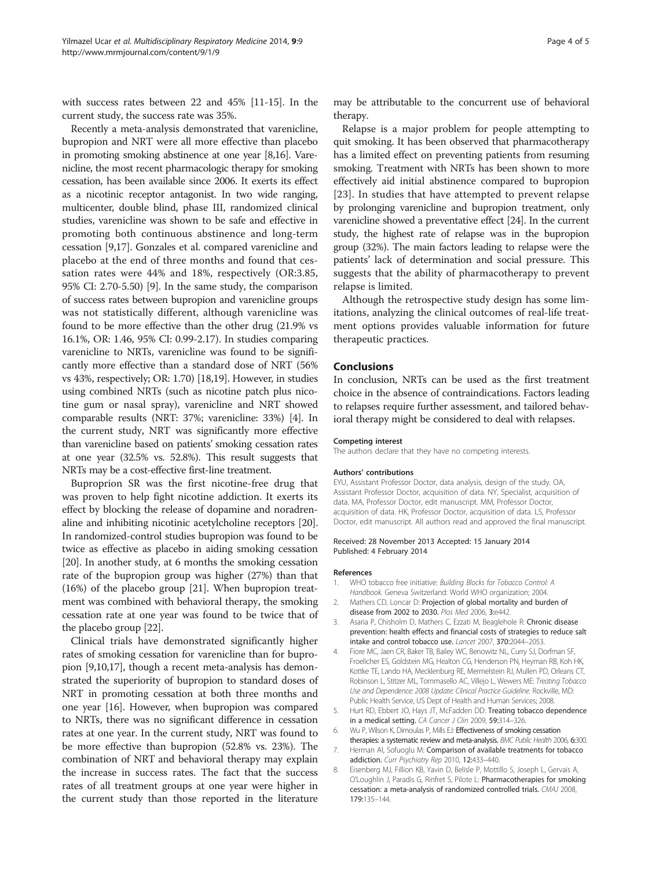<span id="page-3-0"></span>with success rates between 22 and 45% [\[11-15\]](#page-4-0). In the current study, the success rate was 35%.

Recently a meta-analysis demonstrated that varenicline, bupropion and NRT were all more effective than placebo in promoting smoking abstinence at one year [8[,16\]](#page-4-0). Varenicline, the most recent pharmacologic therapy for smoking cessation, has been available since 2006. It exerts its effect as a nicotinic receptor antagonist. In two wide ranging, multicenter, double blind, phase III, randomized clinical studies, varenicline was shown to be safe and effective in promoting both continuous abstinence and long-term cessation [\[9,17\]](#page-4-0). Gonzales et al. compared varenicline and placebo at the end of three months and found that cessation rates were 44% and 18%, respectively (OR:3.85, 95% CI: 2.70-5.50) [\[9\]](#page-4-0). In the same study, the comparison of success rates between bupropion and varenicline groups was not statistically different, although varenicline was found to be more effective than the other drug (21.9% vs 16.1%, OR: 1.46, 95% CI: 0.99-2.17). In studies comparing varenicline to NRTs, varenicline was found to be significantly more effective than a standard dose of NRT (56% vs 43%, respectively; OR: 1.70) [\[18,19\]](#page-4-0). However, in studies using combined NRTs (such as nicotine patch plus nicotine gum or nasal spray), varenicline and NRT showed comparable results (NRT: 37%; varenicline: 33%) [4]. In the current study, NRT was significantly more effective than varenicline based on patients' smoking cessation rates at one year (32.5% vs. 52.8%). This result suggests that NRTs may be a cost-effective first-line treatment.

Buproprion SR was the first nicotine-free drug that was proven to help fight nicotine addiction. It exerts its effect by blocking the release of dopamine and noradrenaline and inhibiting nicotinic acetylcholine receptors [[20](#page-4-0)]. In randomized-control studies bupropion was found to be twice as effective as placebo in aiding smoking cessation [[20](#page-4-0)]. In another study, at 6 months the smoking cessation rate of the bupropion group was higher (27%) than that (16%) of the placebo group [\[21\]](#page-4-0). When bupropion treatment was combined with behavioral therapy, the smoking cessation rate at one year was found to be twice that of the placebo group [\[22](#page-4-0)].

Clinical trials have demonstrated significantly higher rates of smoking cessation for varenicline than for bupropion [\[9,10,17](#page-4-0)], though a recent meta-analysis has demonstrated the superiority of bupropion to standard doses of NRT in promoting cessation at both three months and one year [\[16\]](#page-4-0). However, when bupropion was compared to NRTs, there was no significant difference in cessation rates at one year. In the current study, NRT was found to be more effective than bupropion (52.8% vs. 23%). The combination of NRT and behavioral therapy may explain the increase in success rates. The fact that the success rates of all treatment groups at one year were higher in the current study than those reported in the literature may be attributable to the concurrent use of behavioral therapy.

Relapse is a major problem for people attempting to quit smoking. It has been observed that pharmacotherapy has a limited effect on preventing patients from resuming smoking. Treatment with NRTs has been shown to more effectively aid initial abstinence compared to bupropion [[23](#page-4-0)]. In studies that have attempted to prevent relapse by prolonging varenicline and bupropion treatment, only varenicline showed a preventative effect [\[24\]](#page-4-0). In the current study, the highest rate of relapse was in the bupropion group (32%). The main factors leading to relapse were the patients' lack of determination and social pressure. This suggests that the ability of pharmacotherapy to prevent relapse is limited.

Although the retrospective study design has some limitations, analyzing the clinical outcomes of real-life treatment options provides valuable information for future therapeutic practices.

#### Conclusions

In conclusion, NRTs can be used as the first treatment choice in the absence of contraindications. Factors leading to relapses require further assessment, and tailored behavioral therapy might be considered to deal with relapses.

#### Competing interest

The authors declare that they have no competing interests.

#### Authors' contributions

EYU, Assistant Professor Doctor, data analysis, design of the study. OA, Assistant Professor Doctor, acquisition of data. NY, Specialist, acquisition of data. MA, Professor Doctor, edit manuscript. MM, Professor Doctor, acquisition of data. HK, Professor Doctor, acquisition of data. LS, Professor Doctor, edit manuscript. All authors read and approved the final manuscript.

#### Received: 28 November 2013 Accepted: 15 January 2014 Published: 4 February 2014

#### References

- 1. WHO tobacco free initiative: Building Blocks for Tobacco Control: A Handbook. Geneva Switzerland: World WHO organization; 2004.
- 2. Mathers CD, Loncar D: Projection of global mortality and burden of disease from 2002 to 2030. Plos Med 2006, 3:e442.
- 3. Asaria P, Chisholm D, Mathers C, Ezzati M, Beaglehole R: Chronic disease prevention: health effects and financial costs of strategies to reduce salt intake and control tobacco use. Lancet 2007, 370:2044–2053.
- 4. Fiore MC, Jaen CR, Baker TB, Bailey WC, Benowitz NL, Curry SJ, Dorfman SF, Froelicher ES, Goldstein MG, Healton CG, Henderson PN, Heyman RB, Koh HK, Kottke TE, Lando HA, Mecklenburg RE, Mermelstein RJ, Mullen PD, Orleans CT, Robinson L, Stitzer ML, Tommasello AC, Villejo L, Wewers ME: Treating Tobacco Use and Dependence: 2008 Update: Clinical Practice Guideline. Rockville, MD: Public Health Service, US Dept of Health and Human Services; 2008.
- 5. Hurt RD, Ebbert JO, Hays JT, McFadden DD: Treating tobacco dependence in a medical setting. CA Cancer J Clin 2009, 59:314-326.
- 6. Wu P, Wilson K, Dimoulas P, Mills EJ: Effectiveness of smoking cessation therapies: a systematic review and meta-analysis. BMC Public Health 2006, 6:300
- 7. Herman AI, Sofuoglu M: Comparison of available treatments for tobacco addiction. Curr Psychiatry Rep 2010, 12:433–440.
- 8. Eisenberg MJ, Fillion KB, Yavin D, Belisle P, Mottillo S, Joseph L, Gervais A, O'Loughlin J, Paradis G, Rinfret S, Pilote L: Pharmacotherapies for smoking cessation: a meta-analysis of randomized controlled trials. CMAJ 2008, 179:135–144.